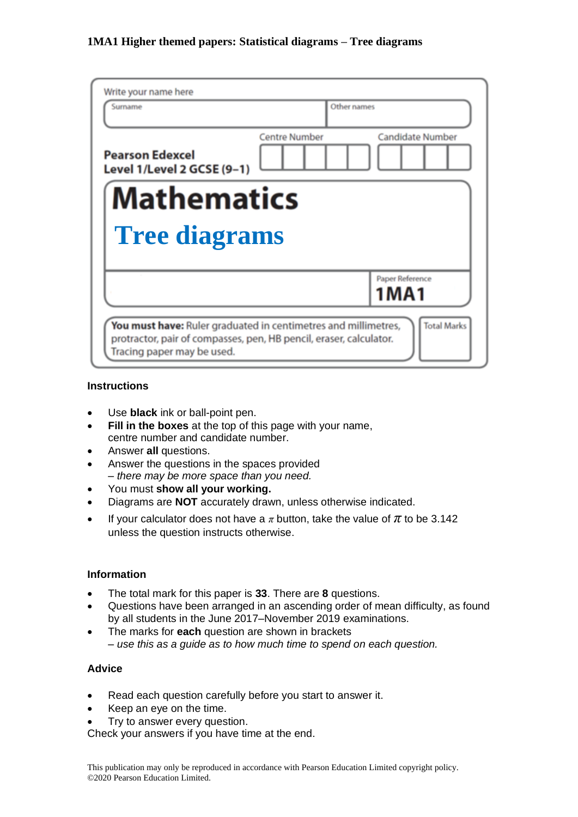| Write your name here                                               |                                                                                      |
|--------------------------------------------------------------------|--------------------------------------------------------------------------------------|
| Surname                                                            | Other names                                                                          |
| <b>Pearson Edexcel</b><br>Level 1/Level 2 GCSE (9-1)               | <b>Candidate Number</b><br><b>Centre Number</b>                                      |
| <b>Mathematics</b><br><b>Tree diagrams</b>                         |                                                                                      |
|                                                                    | Paper Reference<br>1MA1                                                              |
| protractor, pair of compasses, pen, HB pencil, eraser, calculator. | <b>Total Marks</b><br>You must have: Ruler graduated in centimetres and millimetres, |

### **Instructions**

- Use **black** ink or ball-point pen.
- **Fill in the boxes** at the top of this page with your name, centre number and candidate number.
- Answer **all** questions.
- Answer the questions in the spaces provided *– there may be more space than you need.*
- You must **show all your working.**
- Diagrams are **NOT** accurately drawn, unless otherwise indicated.
- If your calculator does not have a  $\pi$  button, take the value of  $\pi$  to be 3.142 unless the question instructs otherwise.

### **Information**

- The total mark for this paper is **33**. There are **8** questions.
- Questions have been arranged in an ascending order of mean difficulty, as found by all students in the June 2017–November 2019 examinations.
- The marks for **each** question are shown in brackets *– use this as a guide as to how much time to spend on each question.*

#### **Advice**

- Read each question carefully before you start to answer it.
- Keep an eye on the time.
- Try to answer every question.

Check your answers if you have time at the end.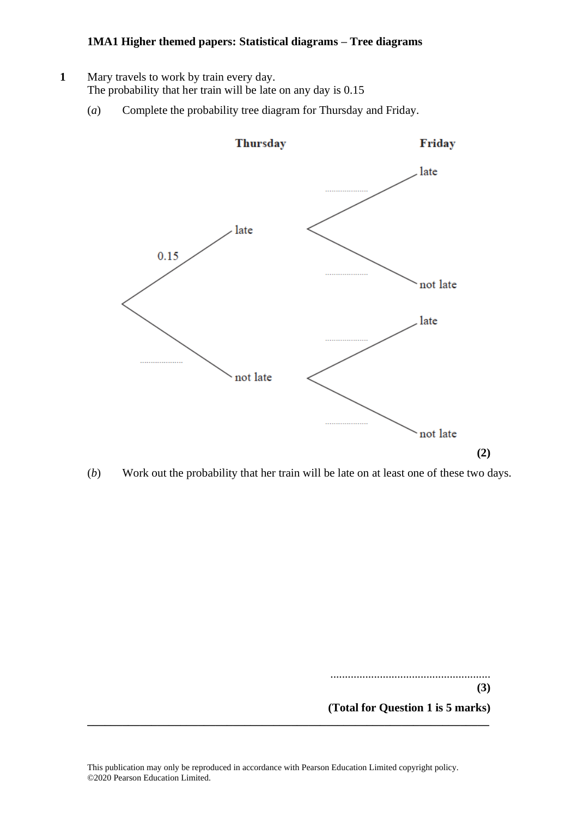- **1** Mary travels to work by train every day. The probability that her train will be late on any day is 0.15
	- (*a*) Complete the probability tree diagram for Thursday and Friday.



(*b*) Work out the probability that her train will be late on at least one of these two days.

....................................................... **(3)**

**(Total for Question 1 is 5 marks)**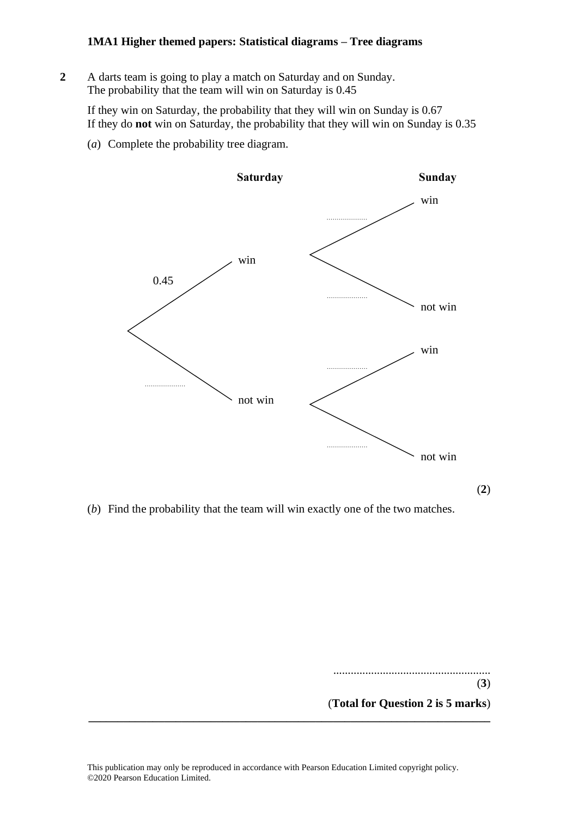**2** A darts team is going to play a match on Saturday and on Sunday. **15** A darts team is going to play <sup>a</sup> match on Saturday and on Sunday. The probability that the team will win on Saturday is 0.45 The probability that the team will win on Saturday is 0.45

If they win on Saturday, the probability that they will win on Sunday is 0.67 If they win on Saturday, the probability that they will win on Sunday is 0.67 If they do **not** win on Saturday, the probability that they will win on Sunday is 0.35 If they do **not** win on Saturday, the probability that they will win on Sunday is 0.35

(*a*) Complete the probability tree diagram. (a) Complete the probability tree diagram.



(**2**)

(*b*) Find the probability that the team will win exactly one of the two matches. (b) Find the probability that the team will win exactly one of the two matches.

...................................................... (**3**) (**Total for Question 2 is 5 marks**) **\_\_\_\_\_\_\_\_\_\_\_\_\_\_\_\_\_\_\_\_\_\_\_\_\_\_\_\_\_\_\_\_\_\_\_\_\_\_\_\_\_\_\_\_\_\_\_\_\_\_\_\_\_\_\_\_\_\_\_\_\_\_\_\_\_\_\_\_\_**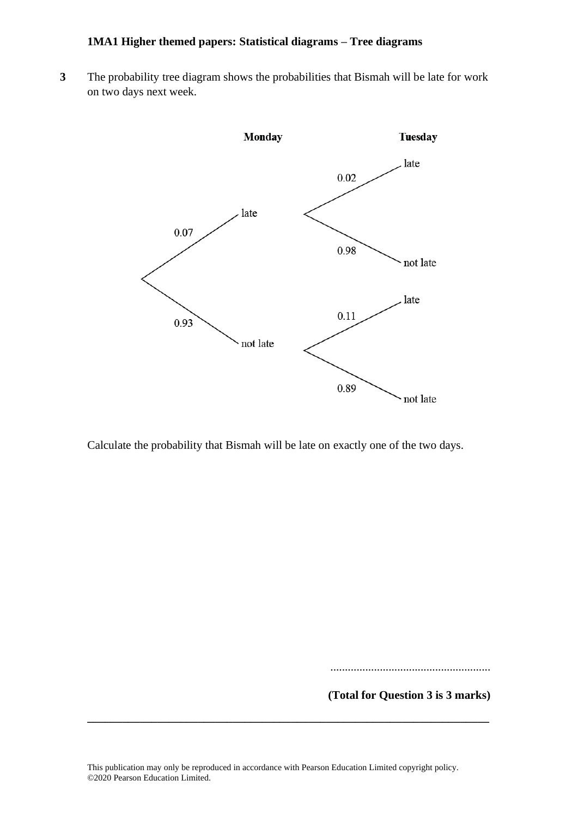**3** The probability tree diagram shows the probabilities that Bismah will be late for work on two days next week.



Calculate the probability that Bismah will be late on exactly one of the two days.

.......................................................

**(Total for Question 3 is 3 marks)**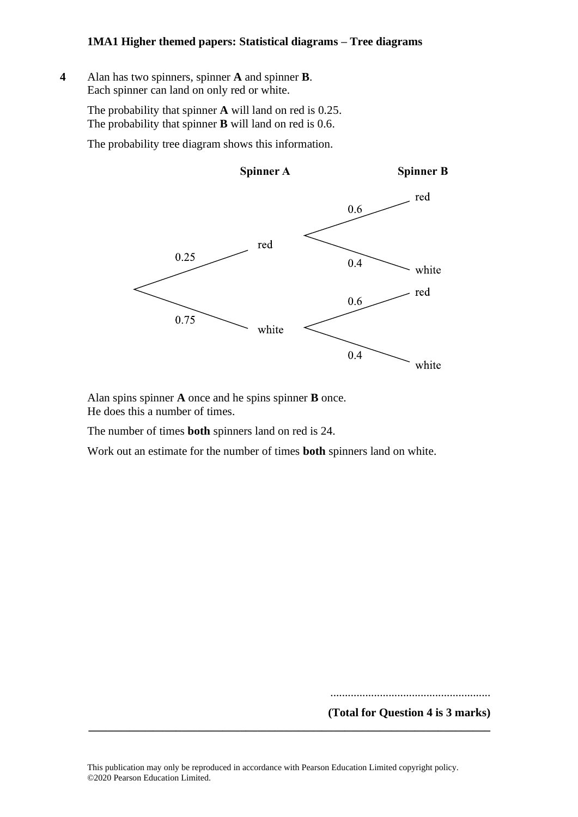**4** Alan has two spinners, spinner **A** and spinner **B**. Each spinner can land on only red or white.

> The probability that spinner  $\bf{A}$  will land on red is 0.25. The probability that spinner  $\bf{B}$  will land on red is 0.6.

The probability tree diagram shows this information.



Alan spins spinner **A** once and he spins spinner **B** once. He does this a number of times.

The number of times **both** spinners land on red is 24.

Work out an estimate for the number of times **both** spinners land on white. **both**

.......................................................

**(Total for Question 4 is 3 marks)**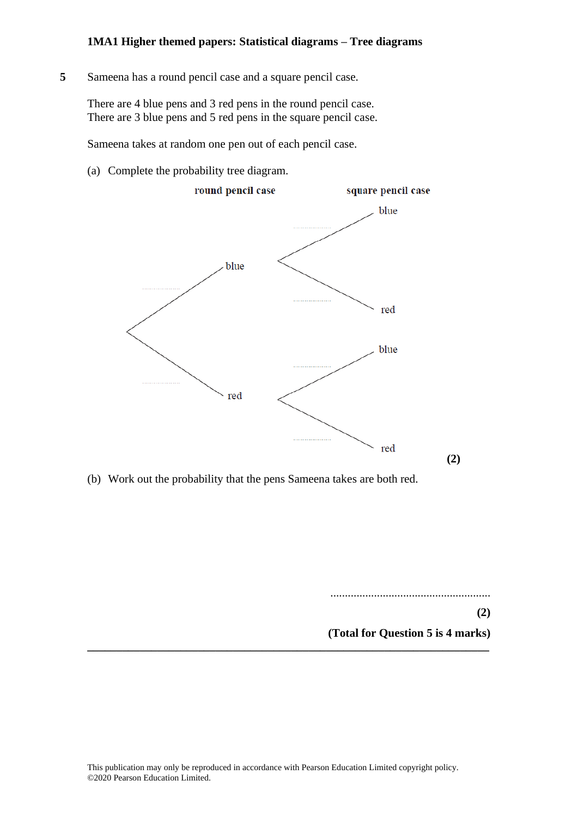**5** Sameena has a round pencil case and a square pencil case.

There are 4 blue pens and 3 red pens in the round pencil case. There are 3 blue pens and 5 red pens in the square pencil case.

Sameena takes at random one pen out of each pencil case.

(a) Complete the probability tree diagram.



(b) Work out the probability that the pens Sameena takes are both red.

.......................................................

**(2)**

**(Total for Question 5 is 4 marks)**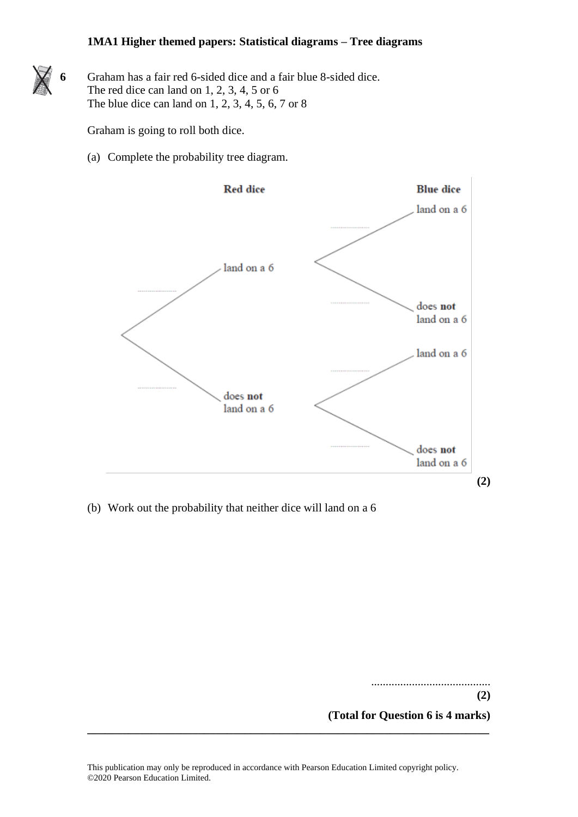**6** Graham has a fair red 6-sided dice and a fair blue 8-sided dice. The red dice can land on 1, 2, 3, 4, 5 or 6 The blue dice can land on 1, 2, 3, 4, 5, 6, 7 or 8

Graham is going to roll both dice.

(a) Complete the probability tree diagram.



(b) Work out the probability that neither dice will land on a 6

......................................... **(2) (Total for Question 6 is 4 marks)**

This publication may only be reproduced in accordance with Pearson Education Limited copyright policy. ©2020 Pearson Education Limited.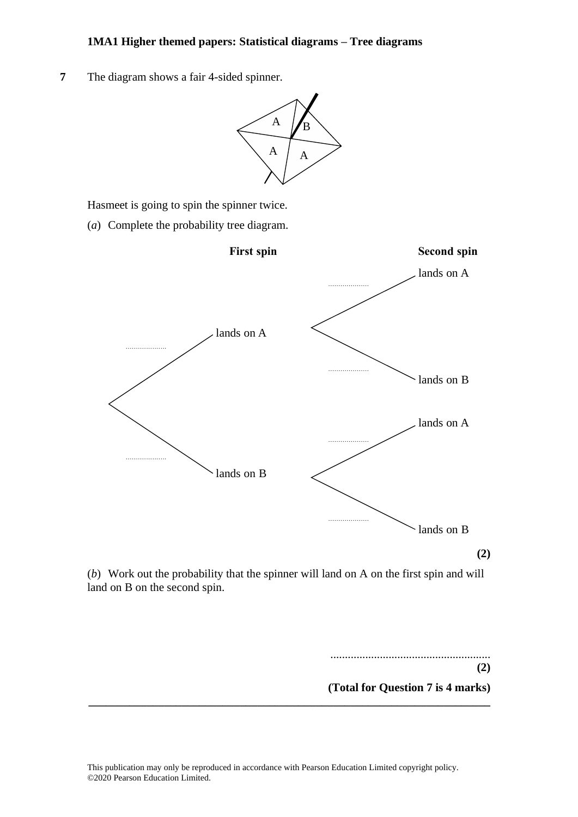**7** The diagram shows a fair 4-sided spinner.



Hasmeet is going to spin the spinner twice. Hasmeet is going to spin the spinner twice. Hasmeet is going to spin the spinner twice.

(*a*) Complete the probability tree diagram. (a) Complete the probability tree diagram. (a) Complete the probability tree diagram.



(b) Work out the probability that the spinner will land on A on the first spin and will land on B on the second spin.

**\_\_\_\_\_\_\_\_\_\_\_\_\_\_\_\_\_\_\_\_\_\_\_\_\_\_\_\_\_\_\_\_\_\_\_\_\_\_\_\_\_\_\_\_\_\_\_\_\_\_\_\_\_\_\_\_\_\_\_\_\_\_\_\_\_\_\_\_\_**

....................................................... **(2) (Total for Question 7 is 4 marks)**

.......................................................